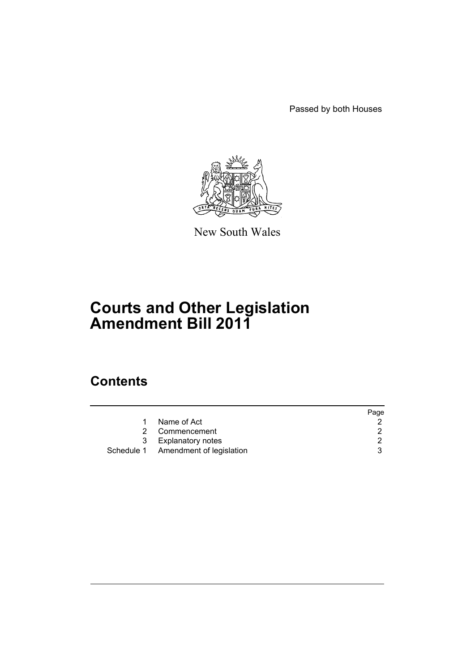Passed by both Houses



New South Wales

# **Courts and Other Legislation Amendment Bill 2011**

# **Contents**

|   |                                     | Page |
|---|-------------------------------------|------|
|   | Name of Act                         |      |
| 2 | Commencement                        |      |
|   | 3 Explanatory notes                 |      |
|   | Schedule 1 Amendment of legislation |      |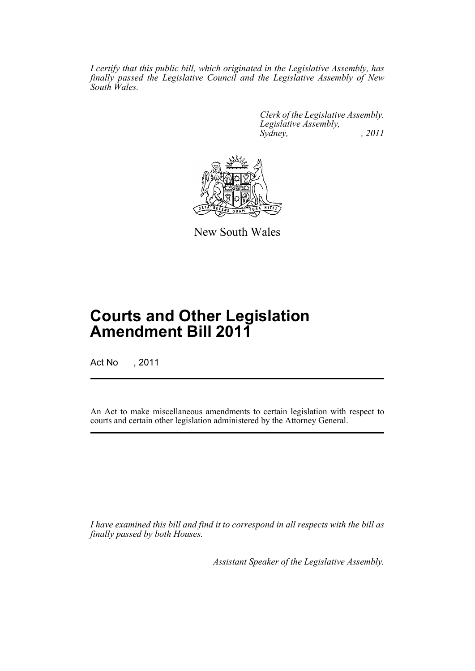*I certify that this public bill, which originated in the Legislative Assembly, has finally passed the Legislative Council and the Legislative Assembly of New South Wales.*

> *Clerk of the Legislative Assembly. Legislative Assembly, Sydney, , 2011*



New South Wales

# **Courts and Other Legislation Amendment Bill 2011**

Act No , 2011

An Act to make miscellaneous amendments to certain legislation with respect to courts and certain other legislation administered by the Attorney General.

*I have examined this bill and find it to correspond in all respects with the bill as finally passed by both Houses.*

*Assistant Speaker of the Legislative Assembly.*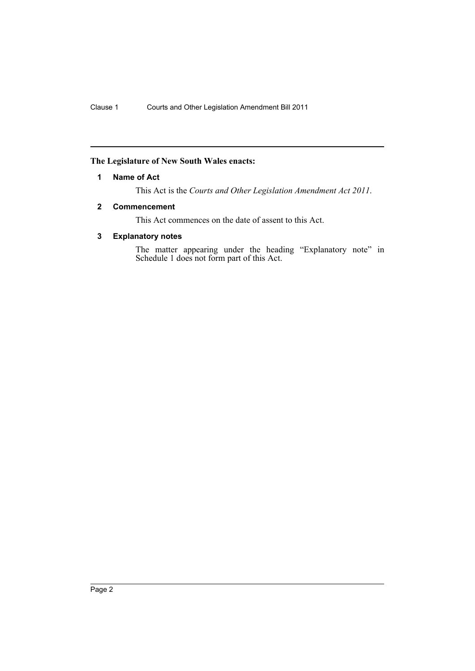## <span id="page-3-0"></span>**The Legislature of New South Wales enacts:**

## **1 Name of Act**

This Act is the *Courts and Other Legislation Amendment Act 2011*.

## <span id="page-3-1"></span>**2 Commencement**

This Act commences on the date of assent to this Act.

## <span id="page-3-2"></span>**3 Explanatory notes**

The matter appearing under the heading "Explanatory note" in Schedule 1 does not form part of this Act.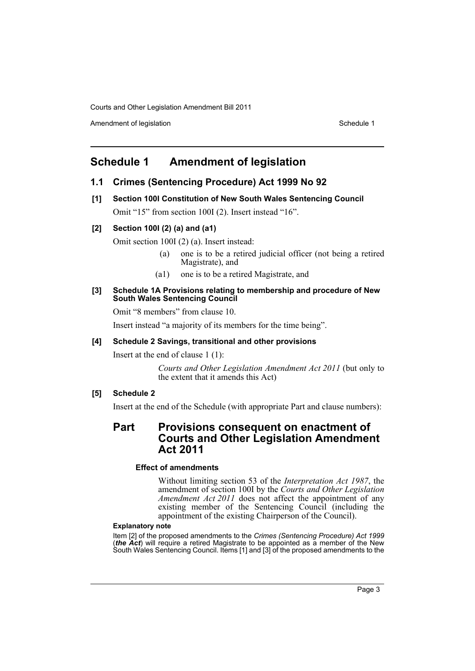Amendment of legislation New York 1999 and the Schedule 1 Amendment of legislation Schedule 1

# <span id="page-4-0"></span>**Schedule 1 Amendment of legislation**

## **1.1 Crimes (Sentencing Procedure) Act 1999 No 92**

**[1] Section 100I Constitution of New South Wales Sentencing Council** Omit "15" from section 100I (2). Insert instead "16".

## **[2] Section 100I (2) (a) and (a1)**

Omit section 100I (2) (a). Insert instead:

- (a) one is to be a retired judicial officer (not being a retired Magistrate), and
- (a1) one is to be a retired Magistrate, and

#### **[3] Schedule 1A Provisions relating to membership and procedure of New South Wales Sentencing Council**

Omit "8 members" from clause 10.

Insert instead "a majority of its members for the time being".

## **[4] Schedule 2 Savings, transitional and other provisions**

Insert at the end of clause 1 (1):

*Courts and Other Legislation Amendment Act 2011* (but only to the extent that it amends this Act)

## **[5] Schedule 2**

Insert at the end of the Schedule (with appropriate Part and clause numbers):

## **Part Provisions consequent on enactment of Courts and Other Legislation Amendment Act 2011**

#### **Effect of amendments**

Without limiting section 53 of the *Interpretation Act 1987*, the amendment of section 100I by the *Courts and Other Legislation Amendment Act 2011* does not affect the appointment of any existing member of the Sentencing Council (including the appointment of the existing Chairperson of the Council).

### **Explanatory note**

Item [2] of the proposed amendments to the *Crimes (Sentencing Procedure) Act 1999* (*the Act*) will require a retired Magistrate to be appointed as a member of the New South Wales Sentencing Council. Items [1] and [3] of the proposed amendments to the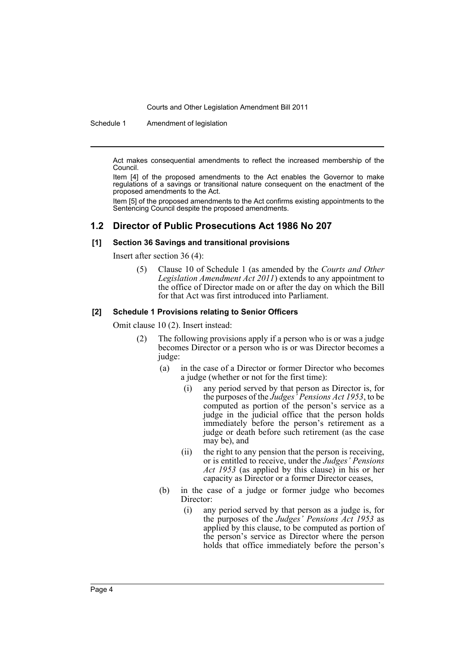Schedule 1 Amendment of legislation

Act makes consequential amendments to reflect the increased membership of the Council.

Item [4] of the proposed amendments to the Act enables the Governor to make regulations of a savings or transitional nature consequent on the enactment of the proposed amendments to the Act.

Item [5] of the proposed amendments to the Act confirms existing appointments to the Sentencing Council despite the proposed amendments.

## **1.2 Director of Public Prosecutions Act 1986 No 207**

## **[1] Section 36 Savings and transitional provisions**

Insert after section 36 (4):

(5) Clause 10 of Schedule 1 (as amended by the *Courts and Other Legislation Amendment Act 2011*) extends to any appointment to the office of Director made on or after the day on which the Bill for that Act was first introduced into Parliament.

#### **[2] Schedule 1 Provisions relating to Senior Officers**

Omit clause 10 (2). Insert instead:

- (2) The following provisions apply if a person who is or was a judge becomes Director or a person who is or was Director becomes a judge:
	- (a) in the case of a Director or former Director who becomes a judge (whether or not for the first time):
		- (i) any period served by that person as Director is, for the purposes of the *Judges' Pensions Act 1953*, to be computed as portion of the person's service as a judge in the judicial office that the person holds immediately before the person's retirement as a judge or death before such retirement (as the case may be), and
		- (ii) the right to any pension that the person is receiving, or is entitled to receive, under the *Judges' Pensions Act 1953* (as applied by this clause) in his or her capacity as Director or a former Director ceases,
	- (b) in the case of a judge or former judge who becomes Director:
		- (i) any period served by that person as a judge is, for the purposes of the *Judges' Pensions Act 1953* as applied by this clause, to be computed as portion of the person's service as Director where the person holds that office immediately before the person's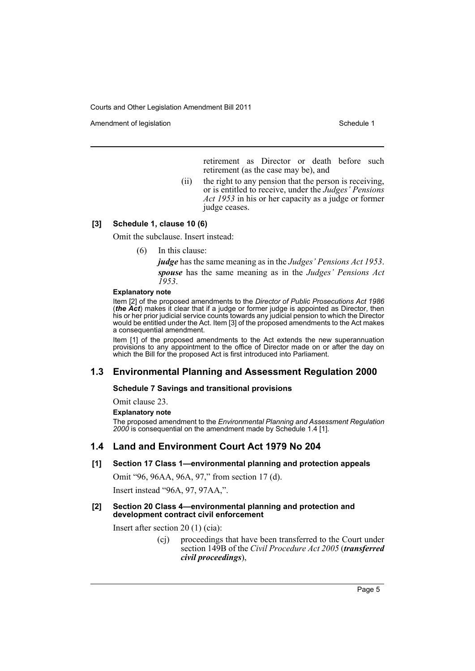Amendment of legislation National Control of Legislation Schedule 1

retirement as Director or death before such retirement (as the case may be), and

(ii) the right to any pension that the person is receiving, or is entitled to receive, under the *Judges' Pensions Act 1953* in his or her capacity as a judge or former judge ceases.

## **[3] Schedule 1, clause 10 (6)**

Omit the subclause. Insert instead:

(6) In this clause:

*judge* has the same meaning as in the *Judges' Pensions Act 1953*. *spouse* has the same meaning as in the *Judges' Pensions Act 1953*.

#### **Explanatory note**

Item [2] of the proposed amendments to the *Director of Public Prosecutions Act 1986* (*the Act*) makes it clear that if a judge or former judge is appointed as Director, then his or her prior judicial service counts towards any judicial pension to which the Director would be entitled under the Act. Item [3] of the proposed amendments to the Act makes a consequential amendment.

Item [1] of the proposed amendments to the Act extends the new superannuation provisions to any appointment to the office of Director made on or after the day on which the Bill for the proposed Act is first introduced into Parliament.

## **1.3 Environmental Planning and Assessment Regulation 2000**

#### **Schedule 7 Savings and transitional provisions**

Omit clause 23.

**Explanatory note**

The proposed amendment to the *Environmental Planning and Assessment Regulation 2000* is consequential on the amendment made by Schedule 1.4 [1].

## **1.4 Land and Environment Court Act 1979 No 204**

#### **[1] Section 17 Class 1—environmental planning and protection appeals**

Omit "96, 96AA, 96A, 97," from section 17 (d).

Insert instead "96A, 97, 97AA,".

#### **[2] Section 20 Class 4—environmental planning and protection and development contract civil enforcement**

Insert after section 20 (1) (cia):

(cj) proceedings that have been transferred to the Court under section 149B of the *Civil Procedure Act 2005* (*transferred civil proceedings*),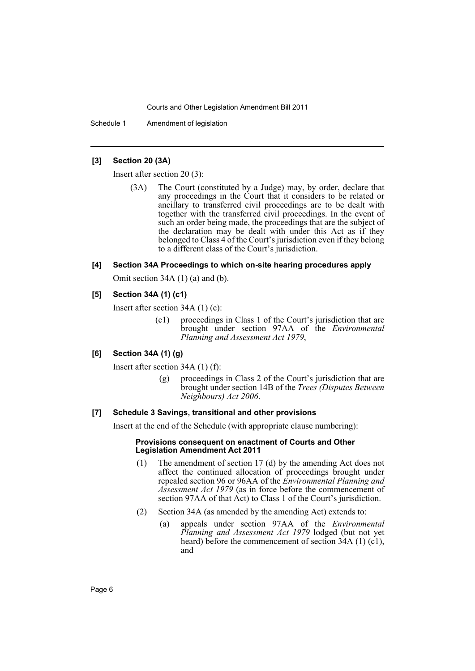Schedule 1 Amendment of legislation

## **[3] Section 20 (3A)**

Insert after section 20 (3):

(3A) The Court (constituted by a Judge) may, by order, declare that any proceedings in the Court that it considers to be related or ancillary to transferred civil proceedings are to be dealt with together with the transferred civil proceedings. In the event of such an order being made, the proceedings that are the subject of the declaration may be dealt with under this Act as if they belonged to Class 4 of the Court's jurisdiction even if they belong to a different class of the Court's jurisdiction.

### **[4] Section 34A Proceedings to which on-site hearing procedures apply**

Omit section 34A (1) (a) and (b).

## **[5] Section 34A (1) (c1)**

Insert after section 34A (1) (c):

(c1) proceedings in Class 1 of the Court's jurisdiction that are brought under section 97AA of the *Environmental Planning and Assessment Act 1979*,

## **[6] Section 34A (1) (g)**

Insert after section 34A (1) (f):

(g) proceedings in Class 2 of the Court's jurisdiction that are brought under section 14B of the *Trees (Disputes Between Neighbours) Act 2006*.

#### **[7] Schedule 3 Savings, transitional and other provisions**

Insert at the end of the Schedule (with appropriate clause numbering):

#### **Provisions consequent on enactment of Courts and Other Legislation Amendment Act 2011**

- (1) The amendment of section 17 (d) by the amending Act does not affect the continued allocation of proceedings brought under repealed section 96 or 96AA of the *Environmental Planning and Assessment Act 1979* (as in force before the commencement of section 97AA of that Act) to Class 1 of the Court's jurisdiction.
- (2) Section 34A (as amended by the amending Act) extends to:
	- (a) appeals under section 97AA of the *Environmental Planning and Assessment Act 1979* lodged (but not yet heard) before the commencement of section 34A (1) (c1), and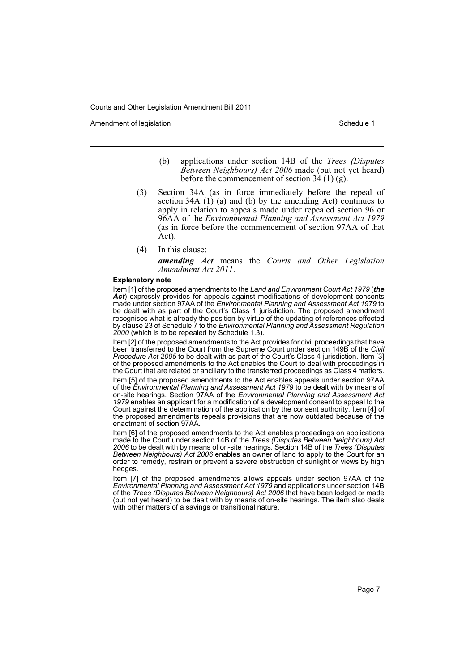Amendment of legislation New York 1999 and the Schedule 1 Amendment of legislation Schedule 1

- (b) applications under section 14B of the *Trees (Disputes Between Neighbours) Act 2006* made (but not yet heard) before the commencement of section  $34(1)(g)$ .
- (3) Section 34A (as in force immediately before the repeal of section 34A (1) (a) and (b) by the amending Act) continues to apply in relation to appeals made under repealed section 96 or 96AA of the *Environmental Planning and Assessment Act 1979* (as in force before the commencement of section 97AA of that Act).
- (4) In this clause:

*amending Act* means the *Courts and Other Legislation Amendment Act 2011*.

#### **Explanatory note**

Item [1] of the proposed amendments to the *Land and Environment Court Act 1979* (*the Act*) expressly provides for appeals against modifications of development consents made under section 97AA of the *Environmental Planning and Assessment Act 1979* to be dealt with as part of the Court's Class 1 jurisdiction. The proposed amendment recognises what is already the position by virtue of the updating of references effected by clause 23 of Schedule 7 to the *Environmental Planning and Assessment Regulation 2000* (which is to be repealed by Schedule 1.3).

Item [2] of the proposed amendments to the Act provides for civil proceedings that have been transferred to the Court from the Supreme Court under section 149B of the *Civil Procedure Act 2005* to be dealt with as part of the Court's Class 4 jurisdiction. Item [3] of the proposed amendments to the Act enables the Court to deal with proceedings in the Court that are related or ancillary to the transferred proceedings as Class 4 matters.

Item [5] of the proposed amendments to the Act enables appeals under section 97AA of the *Environmental Planning and Assessment Act 1979* to be dealt with by means of on-site hearings. Section 97AA of the *Environmental Planning and Assessment Act 1979* enables an applicant for a modification of a development consent to appeal to the Court against the determination of the application by the consent authority. Item [4] of the proposed amendments repeals provisions that are now outdated because of the enactment of section 97AA.

Item [6] of the proposed amendments to the Act enables proceedings on applications made to the Court under section 14B of the *Trees (Disputes Between Neighbours) Act 2006* to be dealt with by means of on-site hearings. Section 14B of the *Trees (Disputes Between Neighbours) Act 2006* enables an owner of land to apply to the Court for an order to remedy, restrain or prevent a severe obstruction of sunlight or views by high hedges.

Item [7] of the proposed amendments allows appeals under section 97AA of the *Environmental Planning and Assessment Act 1979* and applications under section 14B of the *Trees (Disputes Between Neighbours) Act 2006* that have been lodged or made (but not yet heard) to be dealt with by means of on-site hearings. The item also deals with other matters of a savings or transitional nature.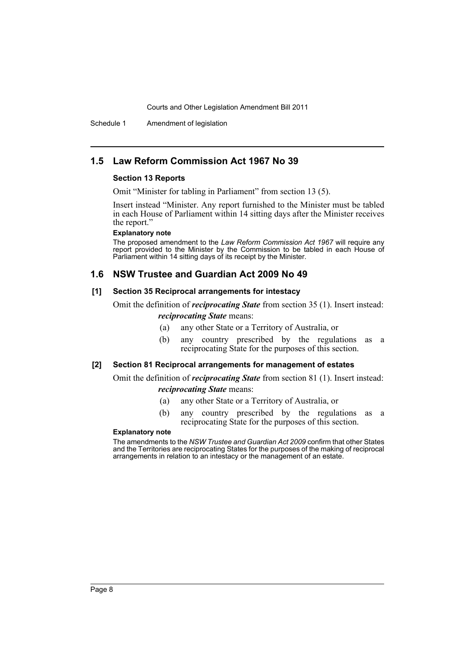Schedule 1 Amendment of legislation

## **1.5 Law Reform Commission Act 1967 No 39**

#### **Section 13 Reports**

Omit "Minister for tabling in Parliament" from section 13 (5).

Insert instead "Minister. Any report furnished to the Minister must be tabled in each House of Parliament within 14 sitting days after the Minister receives the report."

## **Explanatory note**

The proposed amendment to the *Law Reform Commission Act 1967* will require any report provided to the Minister by the Commission to be tabled in each House of Parliament within 14 sitting days of its receipt by the Minister.

## **1.6 NSW Trustee and Guardian Act 2009 No 49**

#### **[1] Section 35 Reciprocal arrangements for intestacy**

Omit the definition of *reciprocating State* from section 35 (1). Insert instead: *reciprocating State* means:

- (a) any other State or a Territory of Australia, or
- (b) any country prescribed by the regulations as a reciprocating State for the purposes of this section.

#### **[2] Section 81 Reciprocal arrangements for management of estates**

Omit the definition of *reciprocating State* from section 81 (1). Insert instead: *reciprocating State* means:

(a) any other State or a Territory of Australia, or

(b) any country prescribed by the regulations as a reciprocating State for the purposes of this section.

### **Explanatory note**

The amendments to the *NSW Trustee and Guardian Act 2009* confirm that other States and the Territories are reciprocating States for the purposes of the making of reciprocal arrangements in relation to an intestacy or the management of an estate.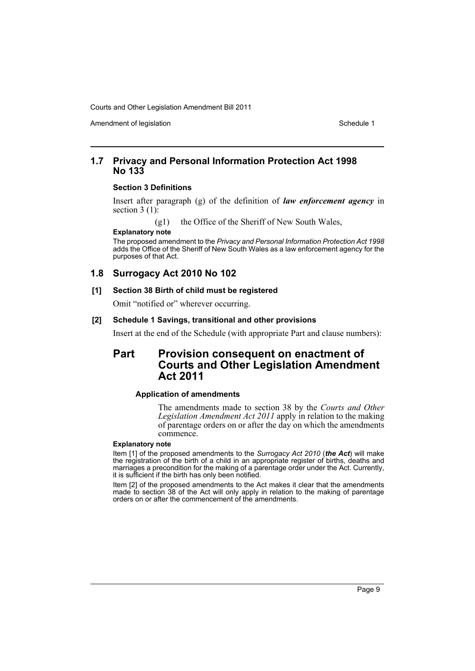Amendment of legislation New York 1999 and the Schedule 1 Schedule 1

## **1.7 Privacy and Personal Information Protection Act 1998 No 133**

#### **Section 3 Definitions**

Insert after paragraph (g) of the definition of *law enforcement agency* in section  $3(1)$ :

(g1) the Office of the Sheriff of New South Wales,

**Explanatory note**

The proposed amendment to the *Privacy and Personal Information Protection Act 1998* adds the Office of the Sheriff of New South Wales as a law enforcement agency for the purposes of that Act.

## **1.8 Surrogacy Act 2010 No 102**

#### **[1] Section 38 Birth of child must be registered**

Omit "notified or" wherever occurring.

#### **[2] Schedule 1 Savings, transitional and other provisions**

Insert at the end of the Schedule (with appropriate Part and clause numbers):

## **Part Provision consequent on enactment of Courts and Other Legislation Amendment Act 2011**

#### **Application of amendments**

The amendments made to section 38 by the *Courts and Other Legislation Amendment Act 2011* apply in relation to the making of parentage orders on or after the day on which the amendments commence.

#### **Explanatory note**

Item [1] of the proposed amendments to the *Surrogacy Act 2010* (*the Act*) will make the registration of the birth of a child in an appropriate register of births, deaths and marriages a precondition for the making of a parentage order under the Act. Currently, it is sufficient if the birth has only been notified.

Item [2] of the proposed amendments to the Act makes it clear that the amendments made to section 38 of the Act will only apply in relation to the making of parentage orders on or after the commencement of the amendments.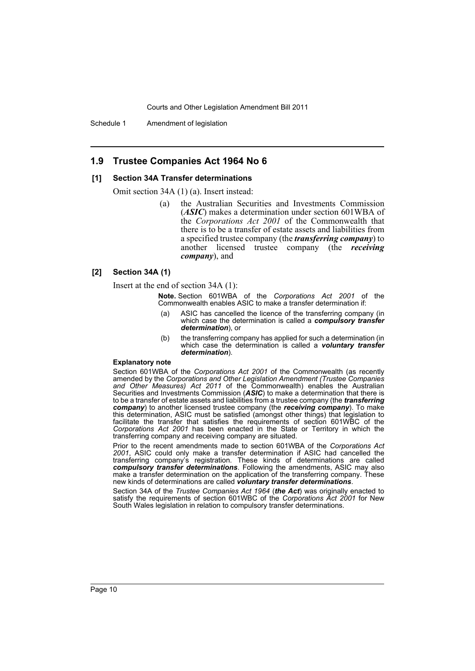Schedule 1 Amendment of legislation

## **1.9 Trustee Companies Act 1964 No 6**

#### **[1] Section 34A Transfer determinations**

Omit section 34A (1) (a). Insert instead:

(a) the Australian Securities and Investments Commission (*ASIC*) makes a determination under section 601WBA of the *Corporations Act 2001* of the Commonwealth that there is to be a transfer of estate assets and liabilities from a specified trustee company (the *transferring company*) to another licensed trustee company (the *receiving company*), and

#### **[2] Section 34A (1)**

Insert at the end of section 34A (1):

**Note.** Section 601WBA of the *Corporations Act 2001* of the Commonwealth enables ASIC to make a transfer determination if:

- (a) ASIC has cancelled the licence of the transferring company (in which case the determination is called a *compulsory transfer determination*), or
- (b) the transferring company has applied for such a determination (in which case the determination is called a *voluntary transfer determination*).

#### **Explanatory note**

Section 601WBA of the *Corporations Act 2001* of the Commonwealth (as recently amended by the *Corporations and Other Legislation Amendment (Trustee Companies and Other Measures) Act 2011* of the Commonwealth) enables the Australian Securities and Investments Commission (*ASIC*) to make a determination that there is to be a transfer of estate assets and liabilities from a trustee company (the *transferring company*) to another licensed trustee company (the *receiving company*). To make this determination, ASIC must be satisfied (amongst other things) that legislation to facilitate the transfer that satisfies the requirements of section 601WBC of the *Corporations Act 2001* has been enacted in the State or Territory in which the transferring company and receiving company are situated.

Prior to the recent amendments made to section 601WBA of the *Corporations Act 2001*, ASIC could only make a transfer determination if ASIC had cancelled the transferring company's registration. These kinds of determinations are called *compulsory transfer determinations*. Following the amendments, ASIC may also make a transfer determination on the application of the transferring company. These new kinds of determinations are called *voluntary transfer determinations*.

Section 34A of the *Trustee Companies Act 1964* (*the Act*) was originally enacted to satisfy the requirements of section 601WBC of the *Corporations Act 2001* for New South Wales legislation in relation to compulsory transfer determinations.